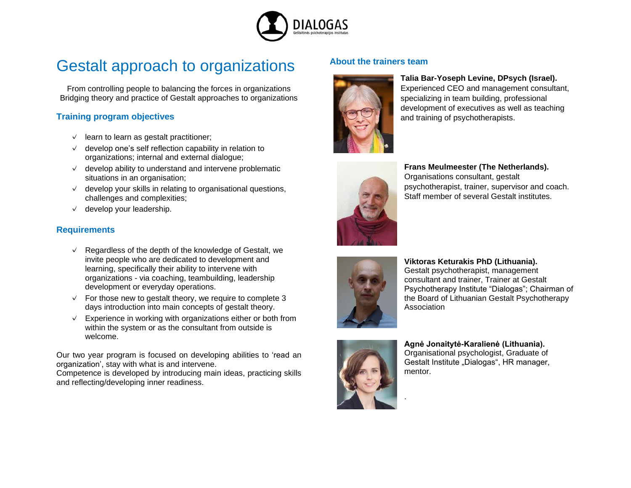

# Gestalt approach to organizations

From controlling people to balancing the forces in organizations Bridging theory and practice of Gestalt approaches to organizations

## **Training program objectives**

- $\vee$  learn to learn as gestalt practitioner;
- $\vee$  develop one's self reflection capability in relation to organizations; internal and external dialogue;
- $\vee$  develop ability to understand and intervene problematic situations in an organisation;
- $\vee$  develop your skills in relating to organisational questions, challenges and complexities;
- $\vee$  develop your leadership.

## **Requirements**

- $\vee$  Regardless of the depth of the knowledge of Gestalt, we invite people who are dedicated to development and learning, specifically their ability to intervene with organizations - via coaching, teambuilding, leadership development or everyday operations.
- $\sqrt{2}$  For those new to gestalt theory, we require to complete 3 days introduction into main concepts of gestalt theory.
- $\vee$  Experience in working with organizations either or both from within the system or as the consultant from outside is welcome.

Our two year program is focused on developing abilities to 'read an organization', stay with what is and intervene.

Competence is developed by introducing main ideas, practicing skills and reflecting/developing inner readiness.

## **About the trainers team**



### **Talia Bar-Yoseph Levine, DPsych (Israel).**

Experienced CEO and management consultant, specializing in team building, professional development of executives as well as teaching and training of psychotherapists.



**Frans Meulmeester (The Netherlands).**  Organisations consultant, gestalt psychotherapist, trainer, supervisor and coach. Staff member of several Gestalt institutes.



**Viktoras Keturakis PhD (Lithuania).** Gestalt psychotherapist, management consultant and trainer, Trainer at Gestalt Psychotherapy Institute "Dialogas"; Chairman of the Board of Lithuanian Gestalt Psychotherapy Association



.

**Agnė Jonaitytė-Karalienė (Lithuania).**  Organisational psychologist, Graduate of Gestalt Institute "Dialogas", HR manager, mentor.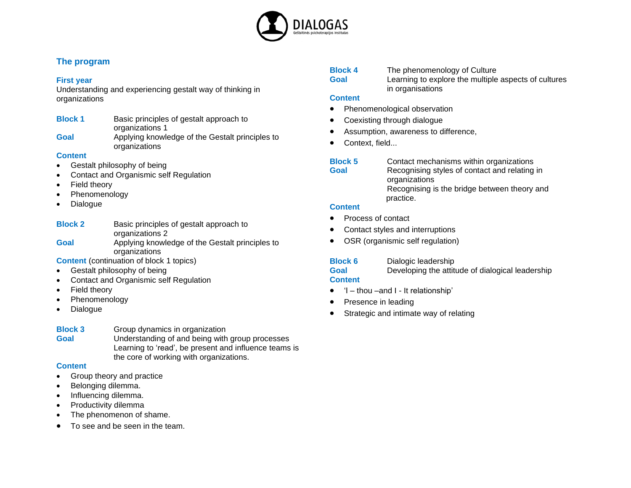

## **The program**

#### **First year**

Understanding and experiencing gestalt way of thinking in organizations

- **Block 1** Basic principles of gestalt approach to organizations 1
- **Goal** Applying knowledge of the Gestalt principles to organizations

## **Content**

- Gestalt philosophy of being
- Contact and Organismic self Regulation
- Field theory
- Phenomenology
- Dialogue

| <b>Block 2</b> | Basic principles of gestalt approach to         |
|----------------|-------------------------------------------------|
|                | organizations 2                                 |
| Goal           | Applying knowledge of the Gestalt principles to |
|                | organizations                                   |

**Content** (continuation of block 1 topics)

- Gestalt philosophy of being
- Contact and Organismic self Regulation
- Field theory
- Phenomenology
- Dialogue
- **Block 3** Group dynamics in organization **Goal** Understanding of and being with group processes Learning to 'read', be present and influence teams is the core of working with organizations.

## **Content**

- Group theory and practice
- Belonging dilemma.
- Influencing dilemma.
- Productivity dilemma
- The phenomenon of shame.
- To see and be seen in the team.

| <b>Block 4</b> | The phenomenology of Culture                         |
|----------------|------------------------------------------------------|
| Goal           | Learning to explore the multiple aspects of cultures |
|                | in organisations                                     |

## **Content**

- Phenomenological observation
- Coexisting through dialogue
- Assumption, awareness to difference,
- Context, field...
- **Block 5** Contact mechanisms within organizations **Goal** Recognising styles of contact and relating in organizations Recognising is the bridge between theory and practice.

## **Content**

- Process of contact
- Contact styles and interruptions
- OSR (organismic self regulation)

# **Block 6** Dialogic leadership

**Goal** Developing the attitude of dialogical leadership

## **Content**

- 'I thou –and I It relationship'
- Presence in leading
- Strategic and intimate way of relating